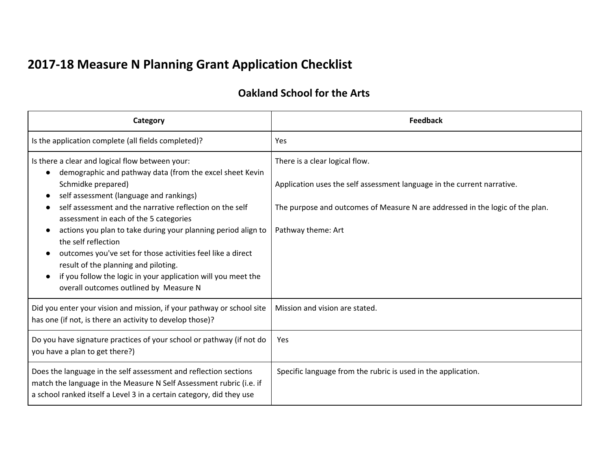## **2017-18 Measure N Planning Grant Application Checklist**

## **Oakland School for the Arts**

| Category                                                                                                                                                                                                                                                                                                                                         | <b>Feedback</b>                                                                                                                                                                            |
|--------------------------------------------------------------------------------------------------------------------------------------------------------------------------------------------------------------------------------------------------------------------------------------------------------------------------------------------------|--------------------------------------------------------------------------------------------------------------------------------------------------------------------------------------------|
| Is the application complete (all fields completed)?                                                                                                                                                                                                                                                                                              | Yes                                                                                                                                                                                        |
| Is there a clear and logical flow between your:<br>demographic and pathway data (from the excel sheet Kevin<br>Schmidke prepared)<br>self assessment (language and rankings)<br>self assessment and the narrative reflection on the self                                                                                                         | There is a clear logical flow.<br>Application uses the self assessment language in the current narrative.<br>The purpose and outcomes of Measure N are addressed in the logic of the plan. |
| assessment in each of the 5 categories<br>actions you plan to take during your planning period align to<br>the self reflection<br>outcomes you've set for those activities feel like a direct<br>result of the planning and piloting.<br>if you follow the logic in your application will you meet the<br>overall outcomes outlined by Measure N | Pathway theme: Art                                                                                                                                                                         |
| Did you enter your vision and mission, if your pathway or school site<br>has one (if not, is there an activity to develop those)?                                                                                                                                                                                                                | Mission and vision are stated.                                                                                                                                                             |
| Do you have signature practices of your school or pathway (if not do<br>you have a plan to get there?)                                                                                                                                                                                                                                           | Yes                                                                                                                                                                                        |
| Does the language in the self assessment and reflection sections<br>match the language in the Measure N Self Assessment rubric (i.e. if<br>a school ranked itself a Level 3 in a certain category, did they use                                                                                                                                  | Specific language from the rubric is used in the application.                                                                                                                              |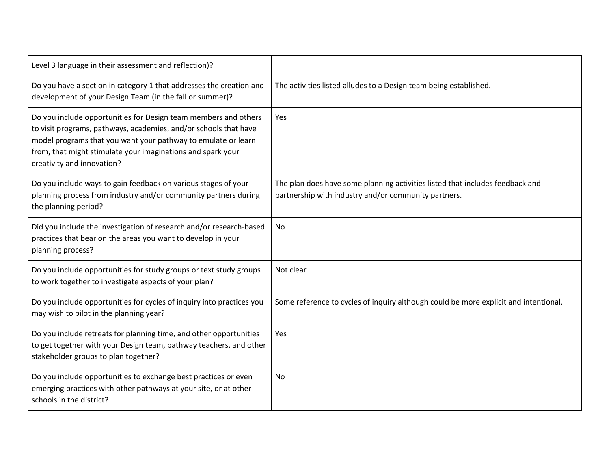| Level 3 language in their assessment and reflection)?                                                                                                                                                                                                                                             |                                                                                                                                       |
|---------------------------------------------------------------------------------------------------------------------------------------------------------------------------------------------------------------------------------------------------------------------------------------------------|---------------------------------------------------------------------------------------------------------------------------------------|
| Do you have a section in category 1 that addresses the creation and<br>development of your Design Team (in the fall or summer)?                                                                                                                                                                   | The activities listed alludes to a Design team being established.                                                                     |
| Do you include opportunities for Design team members and others<br>to visit programs, pathways, academies, and/or schools that have<br>model programs that you want your pathway to emulate or learn<br>from, that might stimulate your imaginations and spark your<br>creativity and innovation? | <b>Yes</b>                                                                                                                            |
| Do you include ways to gain feedback on various stages of your<br>planning process from industry and/or community partners during<br>the planning period?                                                                                                                                         | The plan does have some planning activities listed that includes feedback and<br>partnership with industry and/or community partners. |
| Did you include the investigation of research and/or research-based<br>practices that bear on the areas you want to develop in your<br>planning process?                                                                                                                                          | No                                                                                                                                    |
| Do you include opportunities for study groups or text study groups<br>to work together to investigate aspects of your plan?                                                                                                                                                                       | Not clear                                                                                                                             |
| Do you include opportunities for cycles of inquiry into practices you<br>may wish to pilot in the planning year?                                                                                                                                                                                  | Some reference to cycles of inquiry although could be more explicit and intentional.                                                  |
| Do you include retreats for planning time, and other opportunities<br>to get together with your Design team, pathway teachers, and other<br>stakeholder groups to plan together?                                                                                                                  | Yes                                                                                                                                   |
| Do you include opportunities to exchange best practices or even<br>emerging practices with other pathways at your site, or at other<br>schools in the district?                                                                                                                                   | No                                                                                                                                    |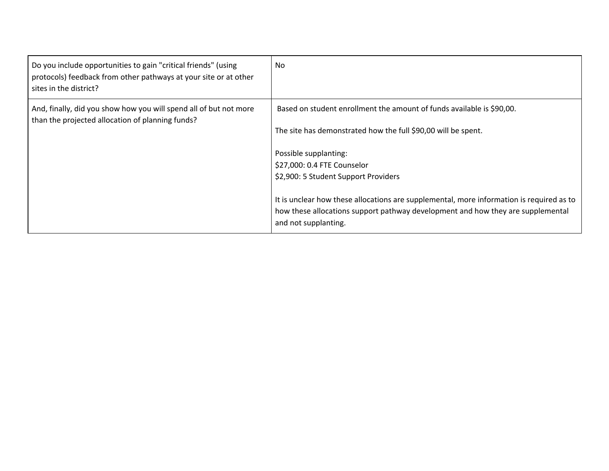| Do you include opportunities to gain "critical friends" (using<br>protocols) feedback from other pathways at your site or at other<br>sites in the district? | N <sub>0</sub>                                                                                                                                                                                      |
|--------------------------------------------------------------------------------------------------------------------------------------------------------------|-----------------------------------------------------------------------------------------------------------------------------------------------------------------------------------------------------|
| And, finally, did you show how you will spend all of but not more<br>than the projected allocation of planning funds?                                        | Based on student enrollment the amount of funds available is \$90,00.                                                                                                                               |
|                                                                                                                                                              | The site has demonstrated how the full \$90,00 will be spent.                                                                                                                                       |
|                                                                                                                                                              | Possible supplanting:                                                                                                                                                                               |
|                                                                                                                                                              | \$27,000: 0.4 FTE Counselor                                                                                                                                                                         |
|                                                                                                                                                              | \$2,900: 5 Student Support Providers                                                                                                                                                                |
|                                                                                                                                                              | It is unclear how these allocations are supplemental, more information is required as to<br>how these allocations support pathway development and how they are supplemental<br>and not supplanting. |